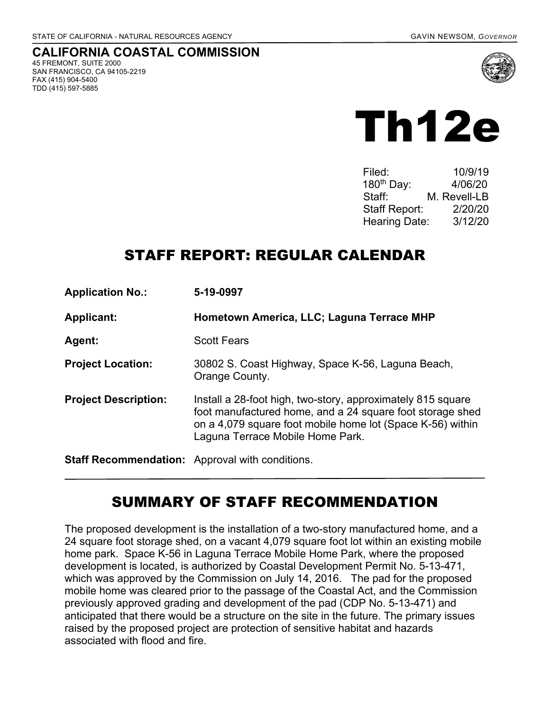TDD (415) 597-5885

#### **CALIFORNIA COASTAL COMMISSION**  45 FREMONT, SUITE 2000 SAN FRANCISCO, CA 94105-2219 FAX (415) 904-5400





| Filed:                 | 10/9/19      |
|------------------------|--------------|
| 180 <sup>th</sup> Day: | 4/06/20      |
| Staff⊤                 | M. Revell-LB |
| <b>Staff Report:</b>   | 2/20/20      |
| <b>Hearing Date:</b>   | 3/12/20      |

## STAFF REPORT: REGULAR CALENDAR

| <b>Application No.:</b>                                | 5-19-0997                                                                                                                                                                                                                  |
|--------------------------------------------------------|----------------------------------------------------------------------------------------------------------------------------------------------------------------------------------------------------------------------------|
| <b>Applicant:</b>                                      | Hometown America, LLC; Laguna Terrace MHP                                                                                                                                                                                  |
| Agent:                                                 | <b>Scott Fears</b>                                                                                                                                                                                                         |
| <b>Project Location:</b>                               | 30802 S. Coast Highway, Space K-56, Laguna Beach,<br>Orange County.                                                                                                                                                        |
| <b>Project Description:</b>                            | Install a 28-foot high, two-story, approximately 815 square<br>foot manufactured home, and a 24 square foot storage shed<br>on a 4,079 square foot mobile home lot (Space K-56) within<br>Laguna Terrace Mobile Home Park. |
| <b>Staff Recommendation:</b> Approval with conditions. |                                                                                                                                                                                                                            |

## SUMMARY OF STAFF RECOMMENDATION

The proposed development is the installation of a two-story manufactured home, and a 24 square foot storage shed, on a vacant 4,079 square foot lot within an existing mobile home park. Space K-56 in Laguna Terrace Mobile Home Park, where the proposed development is located, is authorized by Coastal Development Permit No. 5-13-471, which was approved by the Commission on July 14, 2016. The pad for the proposed mobile home was cleared prior to the passage of the Coastal Act, and the Commission previously approved grading and development of the pad (CDP No. 5-13-471) and anticipated that there would be a structure on the site in the future. The primary issues raised by the proposed project are protection of sensitive habitat and hazards associated with flood and fire.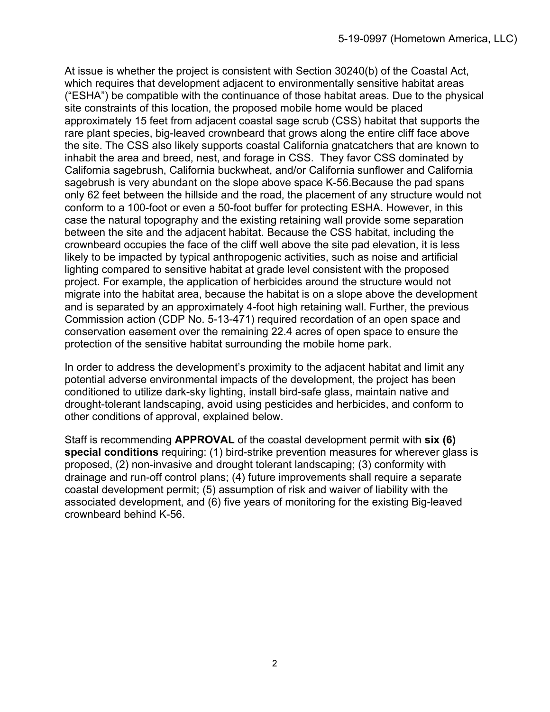At issue is whether the project is consistent with Section 30240(b) of the Coastal Act, which requires that development adjacent to environmentally sensitive habitat areas ("ESHA") be compatible with the continuance of those habitat areas. Due to the physical site constraints of this location, the proposed mobile home would be placed approximately 15 feet from adjacent coastal sage scrub (CSS) habitat that supports the rare plant species, big-leaved crownbeard that grows along the entire cliff face above the site. The CSS also likely supports coastal California gnatcatchers that are known to inhabit the area and breed, nest, and forage in CSS. They favor CSS dominated by California sagebrush, California buckwheat, and/or California sunflower and California sagebrush is very abundant on the slope above space K-56.Because the pad spans only 62 feet between the hillside and the road, the placement of any structure would not conform to a 100-foot or even a 50-foot buffer for protecting ESHA. However, in this case the natural topography and the existing retaining wall provide some separation between the site and the adjacent habitat. Because the CSS habitat, including the crownbeard occupies the face of the cliff well above the site pad elevation, it is less likely to be impacted by typical anthropogenic activities, such as noise and artificial lighting compared to sensitive habitat at grade level consistent with the proposed project. For example, the application of herbicides around the structure would not migrate into the habitat area, because the habitat is on a slope above the development and is separated by an approximately 4-foot high retaining wall. Further, the previous Commission action (CDP No. 5-13-471) required recordation of an open space and conservation easement over the remaining 22.4 acres of open space to ensure the protection of the sensitive habitat surrounding the mobile home park.

In order to address the development's proximity to the adjacent habitat and limit any potential adverse environmental impacts of the development, the project has been conditioned to utilize dark-sky lighting, install bird-safe glass, maintain native and drought-tolerant landscaping, avoid using pesticides and herbicides, and conform to other conditions of approval, explained below.

Staff is recommending **APPROVAL** of the coastal development permit with **six (6) special conditions** requiring: (1) bird-strike prevention measures for wherever glass is proposed, (2) non-invasive and drought tolerant landscaping; (3) conformity with drainage and run-off control plans; (4) future improvements shall require a separate coastal development permit; (5) assumption of risk and waiver of liability with the associated development, and (6) five years of monitoring for the existing Big-leaved crownbeard behind K-56.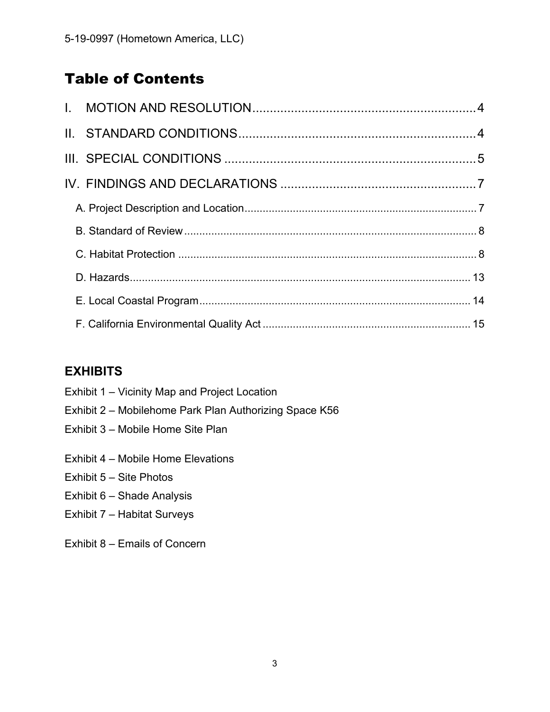## Table of Contents

### **EXHIBITS**

- Exhibit 1 Vicinity Map and Project Location
- Exhibit 2 Mobilehome Park Plan Authorizing Space K56
- Exhibit 3 Mobile Home Site Plan
- Exhibit 4 Mobile Home Elevations
- Exhibit 5 Site Photos
- Exhibit 6 Shade Analysis
- Exhibit 7 Habitat Surveys
- Exhibit 8 Emails of Concern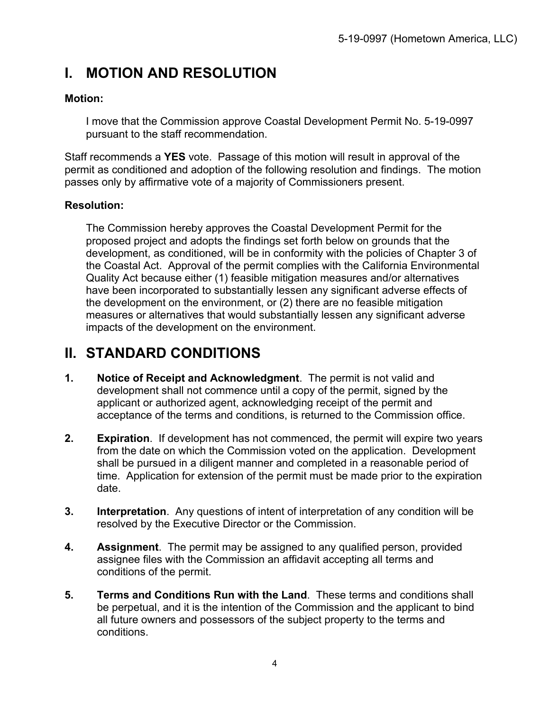## **I. MOTION AND RESOLUTION**

#### **Motion:**

I move that the Commission approve Coastal Development Permit No. 5-19-0997 pursuant to the staff recommendation.

Staff recommends a **YES** vote. Passage of this motion will result in approval of the permit as conditioned and adoption of the following resolution and findings. The motion passes only by affirmative vote of a majority of Commissioners present.

### **Resolution:**

The Commission hereby approves the Coastal Development Permit for the proposed project and adopts the findings set forth below on grounds that the development, as conditioned, will be in conformity with the policies of Chapter 3 of the Coastal Act. Approval of the permit complies with the California Environmental Quality Act because either (1) feasible mitigation measures and/or alternatives have been incorporated to substantially lessen any significant adverse effects of the development on the environment, or (2) there are no feasible mitigation measures or alternatives that would substantially lessen any significant adverse impacts of the development on the environment.

## **II. STANDARD CONDITIONS**

- **1. Notice of Receipt and Acknowledgment**. The permit is not valid and development shall not commence until a copy of the permit, signed by the applicant or authorized agent, acknowledging receipt of the permit and acceptance of the terms and conditions, is returned to the Commission office.
- **2. Expiration**. If development has not commenced, the permit will expire two years from the date on which the Commission voted on the application. Development shall be pursued in a diligent manner and completed in a reasonable period of time. Application for extension of the permit must be made prior to the expiration date.
- **3. Interpretation**. Any questions of intent of interpretation of any condition will be resolved by the Executive Director or the Commission.
- **4. Assignment**. The permit may be assigned to any qualified person, provided assignee files with the Commission an affidavit accepting all terms and conditions of the permit.
- **5. Terms and Conditions Run with the Land**. These terms and conditions shall be perpetual, and it is the intention of the Commission and the applicant to bind all future owners and possessors of the subject property to the terms and conditions.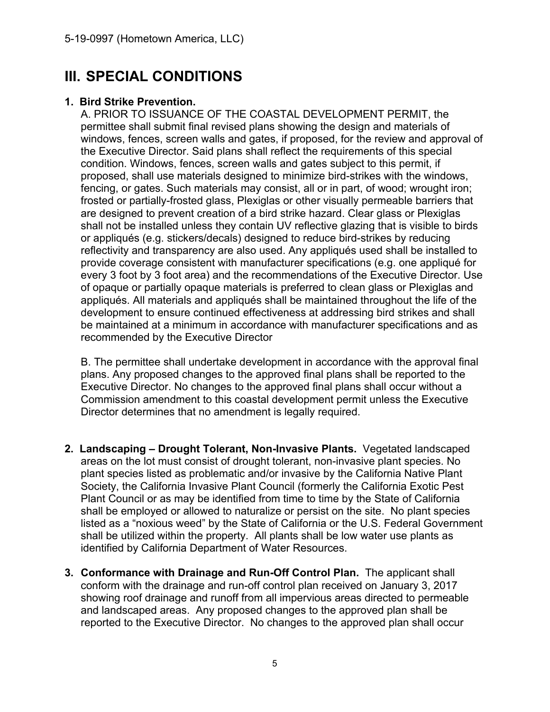## **III. SPECIAL CONDITIONS**

#### **1. Bird Strike Prevention.**

A. PRIOR TO ISSUANCE OF THE COASTAL DEVELOPMENT PERMIT, the permittee shall submit final revised plans showing the design and materials of windows, fences, screen walls and gates, if proposed, for the review and approval of the Executive Director. Said plans shall reflect the requirements of this special condition. Windows, fences, screen walls and gates subject to this permit, if proposed, shall use materials designed to minimize bird-strikes with the windows, fencing, or gates. Such materials may consist, all or in part, of wood; wrought iron; frosted or partially-frosted glass, Plexiglas or other visually permeable barriers that are designed to prevent creation of a bird strike hazard. Clear glass or Plexiglas shall not be installed unless they contain UV reflective glazing that is visible to birds or appliqués (e.g. stickers/decals) designed to reduce bird-strikes by reducing reflectivity and transparency are also used. Any appliqués used shall be installed to provide coverage consistent with manufacturer specifications (e.g. one appliqué for every 3 foot by 3 foot area) and the recommendations of the Executive Director. Use of opaque or partially opaque materials is preferred to clean glass or Plexiglas and appliqués. All materials and appliqués shall be maintained throughout the life of the development to ensure continued effectiveness at addressing bird strikes and shall be maintained at a minimum in accordance with manufacturer specifications and as recommended by the Executive Director

B. The permittee shall undertake development in accordance with the approval final plans. Any proposed changes to the approved final plans shall be reported to the Executive Director. No changes to the approved final plans shall occur without a Commission amendment to this coastal development permit unless the Executive Director determines that no amendment is legally required.

- **2. Landscaping Drought Tolerant, Non-Invasive Plants.** Vegetated landscaped areas on the lot must consist of drought tolerant, non-invasive plant species. No plant species listed as problematic and/or invasive by the California Native Plant Society, the California Invasive Plant Council (formerly the California Exotic Pest Plant Council or as may be identified from time to time by the State of California shall be employed or allowed to naturalize or persist on the site. No plant species listed as a "noxious weed" by the State of California or the U.S. Federal Government shall be utilized within the property. All plants shall be low water use plants as identified by California Department of Water Resources.
- **3. Conformance with Drainage and Run-Off Control Plan.** The applicant shall conform with the drainage and run-off control plan received on January 3, 2017 showing roof drainage and runoff from all impervious areas directed to permeable and landscaped areas. Any proposed changes to the approved plan shall be reported to the Executive Director. No changes to the approved plan shall occur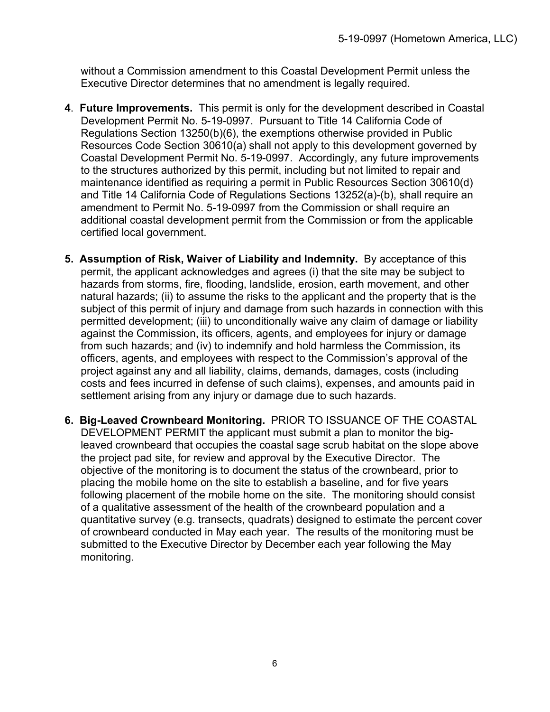without a Commission amendment to this Coastal Development Permit unless the Executive Director determines that no amendment is legally required.

- **4**. **Future Improvements.** This permit is only for the development described in Coastal Development Permit No. 5-19-0997. Pursuant to Title 14 California Code of Regulations Section 13250(b)(6), the exemptions otherwise provided in Public Resources Code Section 30610(a) shall not apply to this development governed by Coastal Development Permit No. 5-19-0997. Accordingly, any future improvements to the structures authorized by this permit, including but not limited to repair and maintenance identified as requiring a permit in Public Resources Section 30610(d) and Title 14 California Code of Regulations Sections 13252(a)-(b), shall require an amendment to Permit No. 5-19-0997 from the Commission or shall require an additional coastal development permit from the Commission or from the applicable certified local government.
- **5. Assumption of Risk, Waiver of Liability and Indemnity.** By acceptance of this permit, the applicant acknowledges and agrees (i) that the site may be subject to hazards from storms, fire, flooding, landslide, erosion, earth movement, and other natural hazards; (ii) to assume the risks to the applicant and the property that is the subject of this permit of injury and damage from such hazards in connection with this permitted development; (iii) to unconditionally waive any claim of damage or liability against the Commission, its officers, agents, and employees for injury or damage from such hazards; and (iv) to indemnify and hold harmless the Commission, its officers, agents, and employees with respect to the Commission's approval of the project against any and all liability, claims, demands, damages, costs (including costs and fees incurred in defense of such claims), expenses, and amounts paid in settlement arising from any injury or damage due to such hazards.
- **6. Big-Leaved Crownbeard Monitoring.** PRIOR TO ISSUANCE OF THE COASTAL DEVELOPMENT PERMIT the applicant must submit a plan to monitor the bigleaved crownbeard that occupies the coastal sage scrub habitat on the slope above the project pad site, for review and approval by the Executive Director. The objective of the monitoring is to document the status of the crownbeard, prior to placing the mobile home on the site to establish a baseline, and for five years following placement of the mobile home on the site. The monitoring should consist of a qualitative assessment of the health of the crownbeard population and a quantitative survey (e.g. transects, quadrats) designed to estimate the percent cover of crownbeard conducted in May each year. The results of the monitoring must be submitted to the Executive Director by December each year following the May monitoring.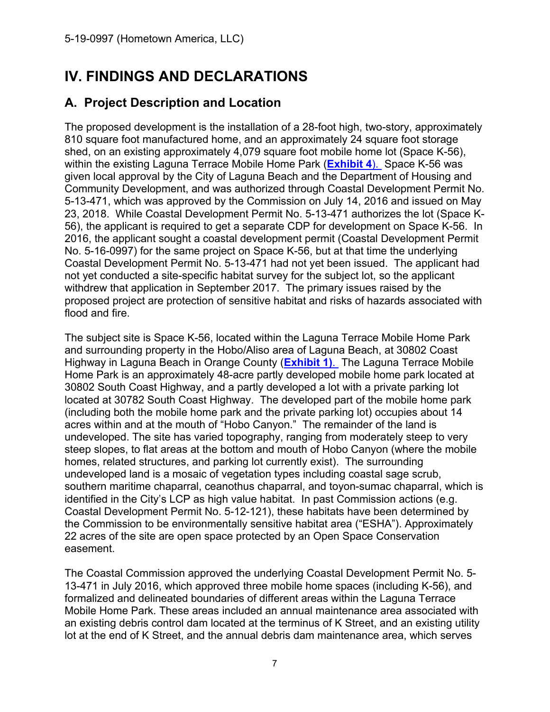# **IV. FINDINGS AND DECLARATIONS**

### **A. Project Description and Location**

The proposed development is the installation of a 28-foot high, two-story, approximately 810 square foot manufactured home, and an approximately 24 square foot storage shed, on an existing approximately 4,079 square foot mobile home lot (Space K-56), within the existing Laguna Terrace Mobile Home Park (**Exhibit 4**). Space K-56 was given local approval by the City of Laguna Beach and the Department of Housing and Community Development, and was authorized through Coastal Development Permit No. 5-13-471, which was approved by the Commission on July 14, 2016 and issued on May 23, 2018. While Coastal Development Permit No. 5-13-471 authorizes the lot (Space K-56), the applicant is required to get a separate CDP for development on Space K-56. In 2016, the applicant sought a coastal development permit (Coastal Development Permit No. 5-16-0997) for the same project on Space K-56, but at that time the underlying Coastal Development Permit No. 5-13-471 had not yet been issued. The applicant had not yet conducted a site-specific habitat survey for the subject lot, so the applicant withdrew that application in September 2017. The primary issues raised by the proposed project are protection of sensitive habitat and risks of hazards associated with flood and fire.

The subject site is Space K-56, located within the Laguna Terrace Mobile Home Park and surrounding property in the Hobo/Aliso area of Laguna Beach, at 30802 Coast Highway in Laguna Beach in Orange County (**Exhibit 1)**. The Laguna Terrace Mobile Home Park is an approximately 48-acre partly developed mobile home park located at 30802 South Coast Highway, and a partly developed a lot with a private parking lot located at 30782 South Coast Highway. The developed part of the mobile home park (including both the mobile home park and the private parking lot) occupies about 14 acres within and at the mouth of "Hobo Canyon." The remainder of the land is undeveloped. The site has varied topography, ranging from moderately steep to very steep slopes, to flat areas at the bottom and mouth of Hobo Canyon (where the mobile homes, related structures, and parking lot currently exist). The surrounding undeveloped land is a mosaic of vegetation types including coastal sage scrub, southern maritime chaparral, ceanothus chaparral, and toyon-sumac chaparral, which is identified in the City's LCP as high value habitat. In past Commission actions (e.g. Coastal Development Permit No. 5-12-121), these habitats have been determined by the Commission to be environmentally sensitive habitat area ("ESHA"). Approximately 22 acres of the site are open space protected by an Open Space Conservation easement.

The Coastal Commission approved the underlying Coastal Development Permit No. 5- 13-471 in July 2016, which approved three mobile home spaces (including K-56), and formalized and delineated boundaries of different areas within the Laguna Terrace Mobile Home Park. These areas included an annual maintenance area associated with an existing debris control dam located at the terminus of K Street, and an existing utility lot at the end of K Street, and the annual debris dam maintenance area, which serves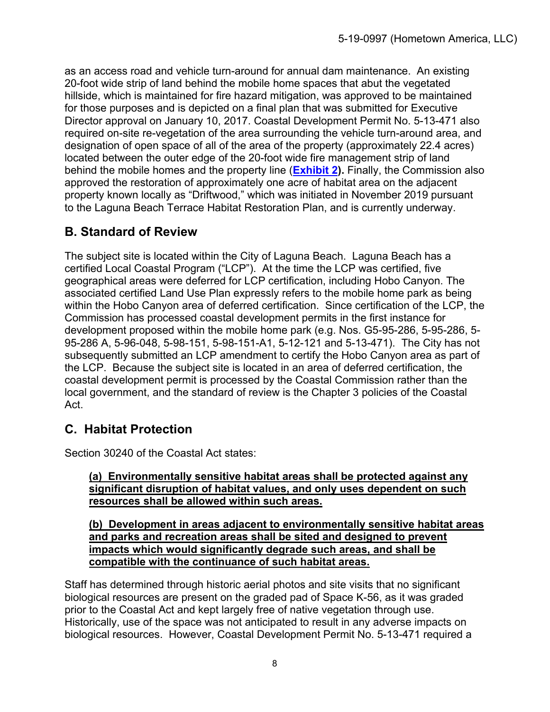as an access road and vehicle turn-around for annual dam maintenance. An existing 20-foot wide strip of land behind the mobile home spaces that abut the vegetated hillside, which is maintained for fire hazard mitigation, was approved to be maintained for those purposes and is depicted on a final plan that was submitted for Executive Director approval on January 10, 2017. Coastal Development Permit No. 5-13-471 also required on-site re-vegetation of the area surrounding the vehicle turn-around area, and designation of open space of all of the area of the property (approximately 22.4 acres) located between the outer edge of the 20-foot wide fire management strip of land behind the mobile homes and the property line (**Exhibit 2).** Finally, the Commission also approved the restoration of approximately one acre of habitat area on the adjacent property known locally as "Driftwood," which was initiated in November 2019 pursuant to the Laguna Beach Terrace Habitat Restoration Plan, and is currently underway.

## **B. Standard of Review**

The subject site is located within the City of Laguna Beach. Laguna Beach has a certified Local Coastal Program ("LCP"). At the time the LCP was certified, five geographical areas were deferred for LCP certification, including Hobo Canyon. The associated certified Land Use Plan expressly refers to the mobile home park as being within the Hobo Canyon area of deferred certification. Since certification of the LCP, the Commission has processed coastal development permits in the first instance for development proposed within the mobile home park (e.g. Nos. G5-95-286, 5-95-286, 5- 95-286 A, 5-96-048, 5-98-151, 5-98-151-A1, 5-12-121 and 5-13-471).The City has not subsequently submitted an LCP amendment to certify the Hobo Canyon area as part of the LCP. Because the subject site is located in an area of deferred certification, the coastal development permit is processed by the Coastal Commission rather than the local government, and the standard of review is the Chapter 3 policies of the Coastal Act.

## **C. Habitat Protection**

Section 30240 of the Coastal Act states:

#### **(a) Environmentally sensitive habitat areas shall be protected against any significant disruption of habitat values, and only uses dependent on such resources shall be allowed within such areas.**

**(b) Development in areas adjacent to environmentally sensitive habitat areas and parks and recreation areas shall be sited and designed to prevent impacts which would significantly degrade such areas, and shall be compatible with the continuance of such habitat areas.** 

Staff has determined through historic aerial photos and site visits that no significant biological resources are present on the graded pad of Space K-56, as it was graded prior to the Coastal Act and kept largely free of native vegetation through use. Historically, use of the space was not anticipated to result in any adverse impacts on biological resources. However, Coastal Development Permit No. 5-13-471 required a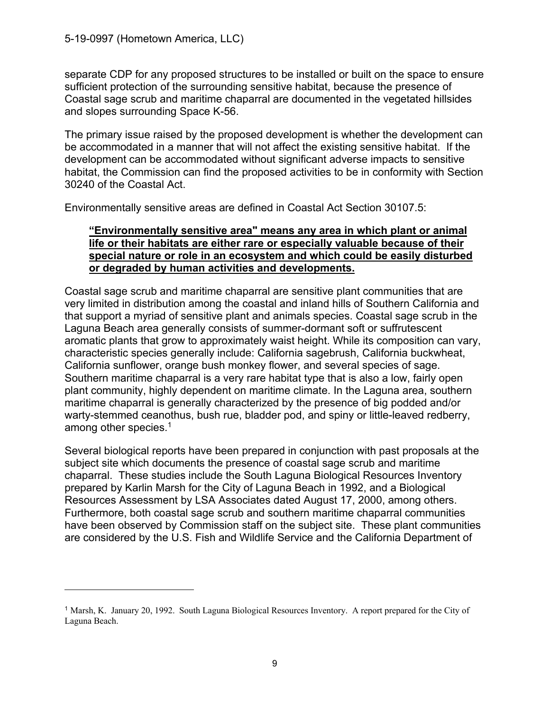$\overline{a}$ 

separate CDP for any proposed structures to be installed or built on the space to ensure sufficient protection of the surrounding sensitive habitat, because the presence of Coastal sage scrub and maritime chaparral are documented in the vegetated hillsides and slopes surrounding Space K-56.

The primary issue raised by the proposed development is whether the development can be accommodated in a manner that will not affect the existing sensitive habitat. If the development can be accommodated without significant adverse impacts to sensitive habitat, the Commission can find the proposed activities to be in conformity with Section 30240 of the Coastal Act.

Environmentally sensitive areas are defined in Coastal Act Section 30107.5:

#### **"Environmentally sensitive area" means any area in which plant or animal life or their habitats are either rare or especially valuable because of their special nature or role in an ecosystem and which could be easily disturbed or degraded by human activities and developments.**

Coastal sage scrub and maritime chaparral are sensitive plant communities that are very limited in distribution among the coastal and inland hills of Southern California and that support a myriad of sensitive plant and animals species. Coastal sage scrub in the Laguna Beach area generally consists of summer-dormant soft or suffrutescent aromatic plants that grow to approximately waist height. While its composition can vary, characteristic species generally include: California sagebrush, California buckwheat, California sunflower, orange bush monkey flower, and several species of sage. Southern maritime chaparral is a very rare habitat type that is also a low, fairly open plant community, highly dependent on maritime climate. In the Laguna area, southern maritime chaparral is generally characterized by the presence of big podded and/or warty-stemmed ceanothus, bush rue, bladder pod, and spiny or little-leaved redberry, among other species. $1$ 

Several biological reports have been prepared in conjunction with past proposals at the subject site which documents the presence of coastal sage scrub and maritime chaparral. These studies include the South Laguna Biological Resources Inventory prepared by Karlin Marsh for the City of Laguna Beach in 1992, and a Biological Resources Assessment by LSA Associates dated August 17, 2000, among others. Furthermore, both coastal sage scrub and southern maritime chaparral communities have been observed by Commission staff on the subject site. These plant communities are considered by the U.S. Fish and Wildlife Service and the California Department of

<sup>1</sup> Marsh, K. January 20, 1992. South Laguna Biological Resources Inventory. A report prepared for the City of Laguna Beach.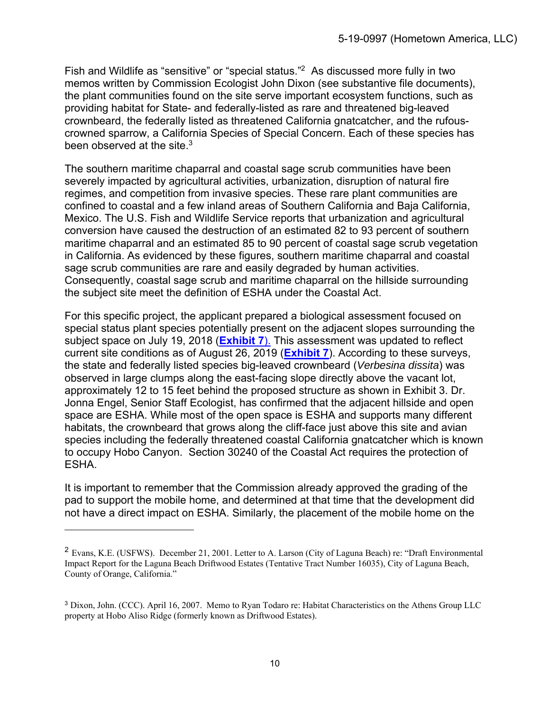Fish and Wildlife as "sensitive" or "special status."2 As discussed more fully in two memos written by Commission Ecologist John Dixon (see substantive file documents), the plant communities found on the site serve important ecosystem functions, such as providing habitat for State- and federally-listed as rare and threatened big-leaved crownbeard, the federally listed as threatened California gnatcatcher, and the rufouscrowned sparrow, a California Species of Special Concern. Each of these species has been observed at the site  $3$ 

The southern maritime chaparral and coastal sage scrub communities have been severely impacted by agricultural activities, urbanization, disruption of natural fire regimes, and competition from invasive species. These rare plant communities are confined to coastal and a few inland areas of Southern California and Baja California, Mexico. The U.S. Fish and Wildlife Service reports that urbanization and agricultural conversion have caused the destruction of an estimated 82 to 93 percent of southern maritime chaparral and an estimated 85 to 90 percent of coastal sage scrub vegetation in California. As evidenced by these figures, southern maritime chaparral and coastal sage scrub communities are rare and easily degraded by human activities. Consequently, coastal sage scrub and maritime chaparral on the hillside surrounding the subject site meet the definition of ESHA under the Coastal Act.

For this specific project, the applicant prepared a biological assessment focused on special status plant species potentially present on the adjacent slopes surrounding the subject space on July 19, 2018 (**Exhibit 7**). This assessment was updated to reflect current site conditions as of August 26, 2019 (**Exhibit 7**). According to these surveys, the state and federally listed species big-leaved crownbeard (*Verbesina dissita*) was observed in large clumps along the east-facing slope directly above the vacant lot, approximately 12 to 15 feet behind the proposed structure as shown in Exhibit 3. Dr. Jonna Engel, Senior Staff Ecologist, has confirmed that the adjacent hillside and open space are ESHA. While most of the open space is ESHA and supports many different habitats, the crownbeard that grows along the cliff-face just above this site and avian species including the federally threatened coastal California gnatcatcher which is known to occupy Hobo Canyon. Section 30240 of the Coastal Act requires the protection of ESHA.

It is important to remember that the Commission already approved the grading of the pad to support the mobile home, and determined at that time that the development did not have a direct impact on ESHA. Similarly, the placement of the mobile home on the

 $\overline{a}$ 

<sup>2</sup> Evans, K.E. (USFWS). December 21, 2001. Letter to A. Larson (City of Laguna Beach) re: "Draft Environmental Impact Report for the Laguna Beach Driftwood Estates (Tentative Tract Number 16035), City of Laguna Beach, County of Orange, California."

<sup>3</sup> Dixon, John. (CCC). April 16, 2007. Memo to Ryan Todaro re: Habitat Characteristics on the Athens Group LLC property at Hobo Aliso Ridge (formerly known as Driftwood Estates).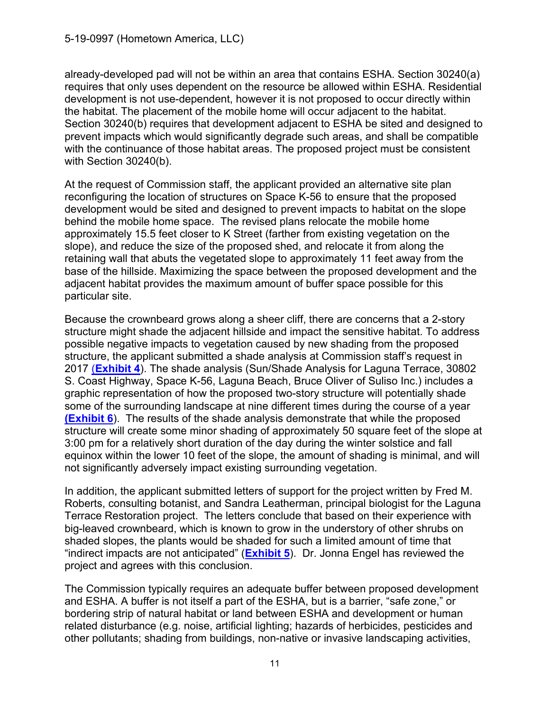already-developed pad will not be within an area that contains ESHA. Section 30240(a) requires that only uses dependent on the resource be allowed within ESHA. Residential development is not use-dependent, however it is not proposed to occur directly within the habitat. The placement of the mobile home will occur adjacent to the habitat. Section 30240(b) requires that development adjacent to ESHA be sited and designed to prevent impacts which would significantly degrade such areas, and shall be compatible with the continuance of those habitat areas. The proposed project must be consistent with Section 30240(b).

At the request of Commission staff, the applicant provided an alternative site plan reconfiguring the location of structures on Space K-56 to ensure that the proposed development would be sited and designed to prevent impacts to habitat on the slope behind the mobile home space. The revised plans relocate the mobile home approximately 15.5 feet closer to K Street (farther from existing vegetation on the slope), and reduce the size of the proposed shed, and relocate it from along the retaining wall that abuts the vegetated slope to approximately 11 feet away from the base of the hillside. Maximizing the space between the proposed development and the adjacent habitat provides the maximum amount of buffer space possible for this particular site.

Because the crownbeard grows along a sheer cliff, there are concerns that a 2-story structure might shade the adjacent hillside and impact the sensitive habitat. To address possible negative impacts to vegetation caused by new shading from the proposed structure, the applicant submitted a shade analysis at Commission staff's request in 2017 (**Exhibit 4**). The shade analysis (Sun/Shade Analysis for Laguna Terrace, 30802 S. Coast Highway, Space K-56, Laguna Beach, Bruce Oliver of Suliso Inc.) includes a graphic representation of how the proposed two-story structure will potentially shade some of the surrounding landscape at nine different times during the course of a year **(Exhibit 6**). The results of the shade analysis demonstrate that while the proposed structure will create some minor shading of approximately 50 square feet of the slope at 3:00 pm for a relatively short duration of the day during the winter solstice and fall equinox within the lower 10 feet of the slope, the amount of shading is minimal, and will not significantly adversely impact existing surrounding vegetation.

In addition, the applicant submitted letters of support for the project written by Fred M. Roberts, consulting botanist, and Sandra Leatherman, principal biologist for the Laguna Terrace Restoration project. The letters conclude that based on their experience with big-leaved crownbeard, which is known to grow in the understory of other shrubs on shaded slopes, the plants would be shaded for such a limited amount of time that "indirect impacts are not anticipated" (**Exhibit 5**). Dr. Jonna Engel has reviewed the project and agrees with this conclusion.

The Commission typically requires an adequate buffer between proposed development and ESHA. A buffer is not itself a part of the ESHA, but is a barrier, "safe zone," or bordering strip of natural habitat or land between ESHA and development or human related disturbance (e.g. noise, artificial lighting; hazards of herbicides, pesticides and other pollutants; shading from buildings, non-native or invasive landscaping activities,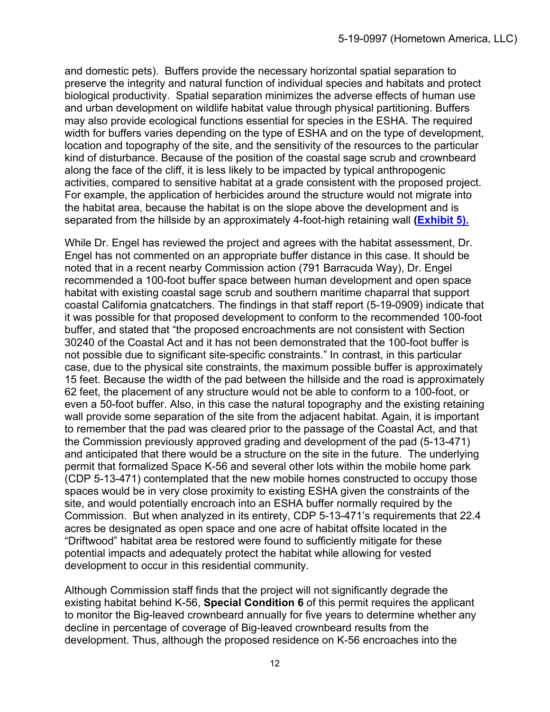and domestic pets). Buffers provide the necessary horizontal spatial separation to preserve the integrity and natural function of individual species and habitats and protect biological productivity. Spatial separation minimizes the adverse effects of human use and urban development on wildlife habitat value through physical partitioning. Buffers may also provide ecological functions essential for species in the ESHA. The required width for buffers varies depending on the type of ESHA and on the type of development, location and topography of the site, and the sensitivity of the resources to the particular kind of disturbance. Because of the position of the coastal sage scrub and crownbeard along the face of the cliff, it is less likely to be impacted by typical anthropogenic activities, compared to sensitive habitat at a grade consistent with the proposed project. For example, the application of herbicides around the structure would not migrate into the habitat area, because the habitat is on the slope above the development and is separated from the hillside by an approximately 4-foot-high retaining wall **(Exhibit 5).**

While Dr. Engel has reviewed the project and agrees with the habitat assessment, Dr. Engel has not commented on an appropriate buffer distance in this case. It should be noted that in a recent nearby Commission action (791 Barracuda Way), Dr. Engel recommended a 100-foot buffer space between human development and open space habitat with existing coastal sage scrub and southern maritime chaparral that support coastal California gnatcatchers. The findings in that staff report (5-19-0909) indicate that it was possible for that proposed development to conform to the recommended 100-foot buffer, and stated that "the proposed encroachments are not consistent with Section 30240 of the Coastal Act and it has not been demonstrated that the 100-foot buffer is not possible due to significant site-specific constraints." In contrast, in this particular case, due to the physical site constraints, the maximum possible buffer is approximately 15 feet. Because the width of the pad between the hillside and the road is approximately 62 feet, the placement of any structure would not be able to conform to a 100-foot, or even a 50-foot buffer. Also, in this case the natural topography and the existing retaining wall provide some separation of the site from the adjacent habitat. Again, it is important to remember that the pad was cleared prior to the passage of the Coastal Act, and that the Commission previously approved grading and development of the pad (5-13-471) and anticipated that there would be a structure on the site in the future. The underlying permit that formalized Space K-56 and several other lots within the mobile home park (CDP 5-13-471) contemplated that the new mobile homes constructed to occupy those spaces would be in very close proximity to existing ESHA given the constraints of the site, and would potentially encroach into an ESHA buffer normally required by the Commission. But when analyzed in its entirety, CDP 5-13-471's requirements that 22.4 acres be designated as open space and one acre of habitat offsite located in the "Driftwood" habitat area be restored were found to sufficiently mitigate for these potential impacts and adequately protect the habitat while allowing for vested development to occur in this residential community.

Although Commission staff finds that the project will not significantly degrade the existing habitat behind K-56, **Special Condition 6** of this permit requires the applicant to monitor the Big-leaved crownbeard annually for five years to determine whether any decline in percentage of coverage of Big-leaved crownbeard results from the development. Thus, although the proposed residence on K-56 encroaches into the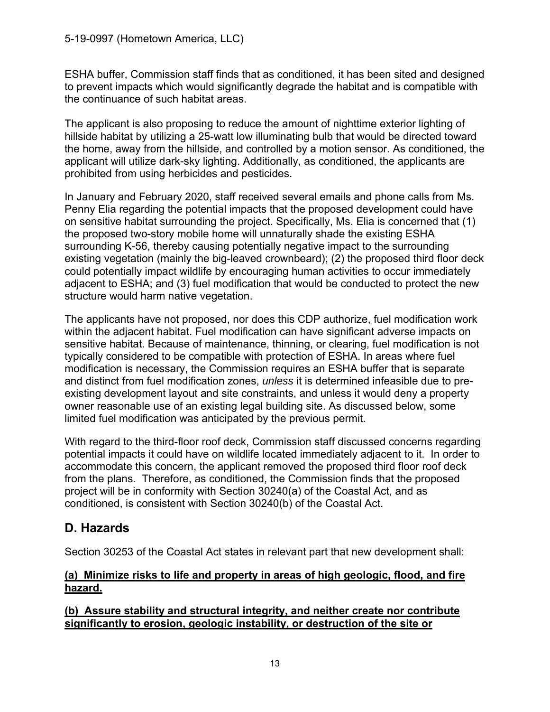ESHA buffer, Commission staff finds that as conditioned, it has been sited and designed to prevent impacts which would significantly degrade the habitat and is compatible with the continuance of such habitat areas.

The applicant is also proposing to reduce the amount of nighttime exterior lighting of hillside habitat by utilizing a 25-watt low illuminating bulb that would be directed toward the home, away from the hillside, and controlled by a motion sensor. As conditioned, the applicant will utilize dark-sky lighting. Additionally, as conditioned, the applicants are prohibited from using herbicides and pesticides.

In January and February 2020, staff received several emails and phone calls from Ms. Penny Elia regarding the potential impacts that the proposed development could have on sensitive habitat surrounding the project. Specifically, Ms. Elia is concerned that (1) the proposed two-story mobile home will unnaturally shade the existing ESHA surrounding K-56, thereby causing potentially negative impact to the surrounding existing vegetation (mainly the big-leaved crownbeard); (2) the proposed third floor deck could potentially impact wildlife by encouraging human activities to occur immediately adjacent to ESHA; and (3) fuel modification that would be conducted to protect the new structure would harm native vegetation.

The applicants have not proposed, nor does this CDP authorize, fuel modification work within the adjacent habitat. Fuel modification can have significant adverse impacts on sensitive habitat. Because of maintenance, thinning, or clearing, fuel modification is not typically considered to be compatible with protection of ESHA. In areas where fuel modification is necessary, the Commission requires an ESHA buffer that is separate and distinct from fuel modification zones, *unless* it is determined infeasible due to preexisting development layout and site constraints, and unless it would deny a property owner reasonable use of an existing legal building site. As discussed below, some limited fuel modification was anticipated by the previous permit.

With regard to the third-floor roof deck, Commission staff discussed concerns regarding potential impacts it could have on wildlife located immediately adjacent to it. In order to accommodate this concern, the applicant removed the proposed third floor roof deck from the plans. Therefore, as conditioned, the Commission finds that the proposed project will be in conformity with Section 30240(a) of the Coastal Act, and as conditioned, is consistent with Section 30240(b) of the Coastal Act.

### **D. Hazards**

Section 30253 of the Coastal Act states in relevant part that new development shall:

#### **(a) Minimize risks to life and property in areas of high geologic, flood, and fire hazard.**

#### **(b) Assure stability and structural integrity, and neither create nor contribute significantly to erosion, geologic instability, or destruction of the site or**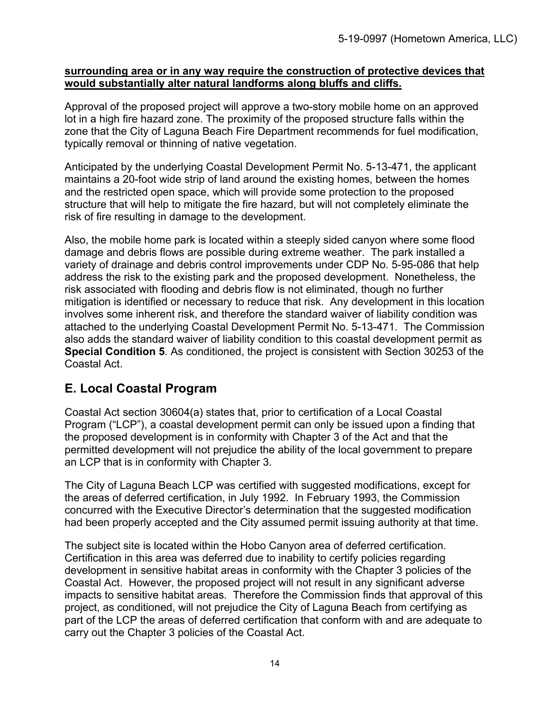#### **surrounding area or in any way require the construction of protective devices that would substantially alter natural landforms along bluffs and cliffs.**

Approval of the proposed project will approve a two-story mobile home on an approved lot in a high fire hazard zone. The proximity of the proposed structure falls within the zone that the City of Laguna Beach Fire Department recommends for fuel modification, typically removal or thinning of native vegetation.

Anticipated by the underlying Coastal Development Permit No. 5-13-471, the applicant maintains a 20-foot wide strip of land around the existing homes, between the homes and the restricted open space, which will provide some protection to the proposed structure that will help to mitigate the fire hazard, but will not completely eliminate the risk of fire resulting in damage to the development.

Also, the mobile home park is located within a steeply sided canyon where some flood damage and debris flows are possible during extreme weather. The park installed a variety of drainage and debris control improvements under CDP No. 5-95-086 that help address the risk to the existing park and the proposed development. Nonetheless, the risk associated with flooding and debris flow is not eliminated, though no further mitigation is identified or necessary to reduce that risk. Any development in this location involves some inherent risk, and therefore the standard waiver of liability condition was attached to the underlying Coastal Development Permit No. 5-13-471. The Commission also adds the standard waiver of liability condition to this coastal development permit as **Special Condition 5**. As conditioned, the project is consistent with Section 30253 of the Coastal Act.

### **E. Local Coastal Program**

Coastal Act section 30604(a) states that, prior to certification of a Local Coastal Program ("LCP"), a coastal development permit can only be issued upon a finding that the proposed development is in conformity with Chapter 3 of the Act and that the permitted development will not prejudice the ability of the local government to prepare an LCP that is in conformity with Chapter 3.

The City of Laguna Beach LCP was certified with suggested modifications, except for the areas of deferred certification, in July 1992. In February 1993, the Commission concurred with the Executive Director's determination that the suggested modification had been properly accepted and the City assumed permit issuing authority at that time.

The subject site is located within the Hobo Canyon area of deferred certification. Certification in this area was deferred due to inability to certify policies regarding development in sensitive habitat areas in conformity with the Chapter 3 policies of the Coastal Act. However, the proposed project will not result in any significant adverse impacts to sensitive habitat areas. Therefore the Commission finds that approval of this project, as conditioned, will not prejudice the City of Laguna Beach from certifying as part of the LCP the areas of deferred certification that conform with and are adequate to carry out the Chapter 3 policies of the Coastal Act.